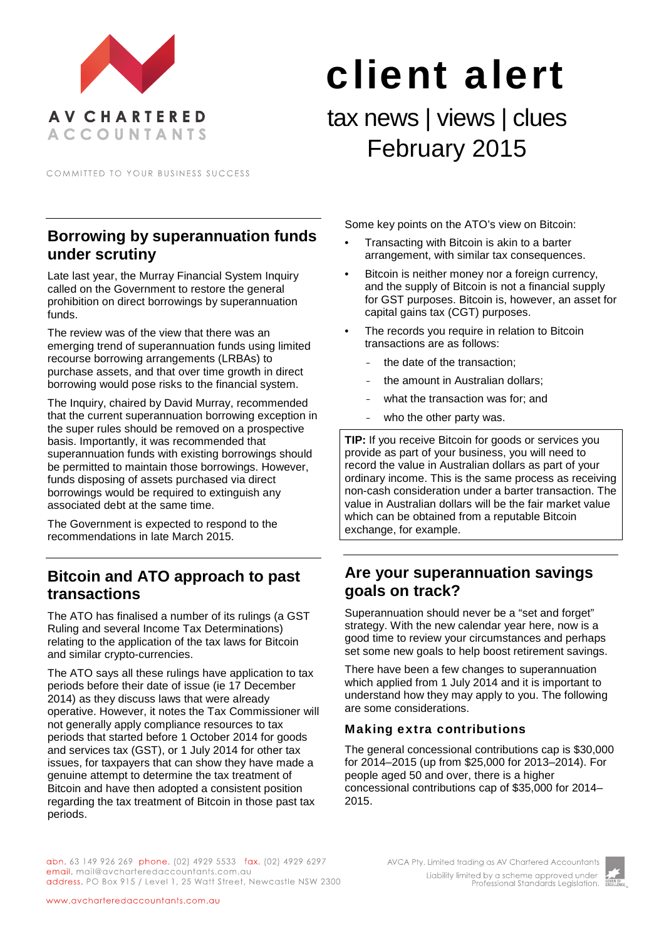

COMMITTED TO YOUR BUSINESS SUCCESS

# **Borrowing by superannuation funds under scrutiny**

Late last year, the Murray Financial System Inquiry called on the Government to restore the general prohibition on direct borrowings by superannuation funds.

The review was of the view that there was an emerging trend of superannuation funds using limited recourse borrowing arrangements (LRBAs) to purchase assets, and that over time growth in direct borrowing would pose risks to the financial system.

The Inquiry, chaired by David Murray, recommended that the current superannuation borrowing exception in the super rules should be removed on a prospective basis. Importantly, it was recommended that superannuation funds with existing borrowings should be permitted to maintain those borrowings. However, funds disposing of assets purchased via direct borrowings would be required to extinguish any associated debt at the same time.

The Government is expected to respond to the recommendations in late March 2015.

# **Bitcoin and ATO approach to past transactions**

The ATO has finalised a number of its rulings (a GST Ruling and several Income Tax Determinations) relating to the application of the tax laws for Bitcoin and similar crypto-currencies.

The ATO says all these rulings have application to tax periods before their date of issue (ie 17 December 2014) as they discuss laws that were already operative. However, it notes the Tax Commissioner will not generally apply compliance resources to tax periods that started before 1 October 2014 for goods and services tax (GST), or 1 July 2014 for other tax issues, for taxpayers that can show they have made a genuine attempt to determine the tax treatment of Bitcoin and have then adopted a consistent position regarding the tax treatment of Bitcoin in those past tax periods.

Some key points on the ATO's view on Bitcoin:

client alert

tax news | views | clues

February 2015

- Transacting with Bitcoin is akin to a barter arrangement, with similar tax consequences.
- Bitcoin is neither money nor a foreign currency, and the supply of Bitcoin is not a financial supply for GST purposes. Bitcoin is, however, an asset for capital gains tax (CGT) purposes.
- The records you require in relation to Bitcoin transactions are as follows:
	- the date of the transaction:
	- the amount in Australian dollars;
	- what the transaction was for: and
	- who the other party was.

**TIP:** If you receive Bitcoin for goods or services you provide as part of your business, you will need to record the value in Australian dollars as part of your ordinary income. This is the same process as receiving non-cash consideration under a barter transaction. The value in Australian dollars will be the fair market value which can be obtained from a reputable Bitcoin exchange, for example.

# **Are your superannuation savings goals on track?**

Superannuation should never be a "set and forget" strategy. With the new calendar year here, now is a good time to review your circumstances and perhaps set some new goals to help boost retirement savings.

There have been a few changes to superannuation which applied from 1 July 2014 and it is important to understand how they may apply to you. The following are some considerations.

#### Making extra contributions

The general concessional contributions cap is \$30,000 for 2014–2015 (up from \$25,000 for 2013–2014). For people aged 50 and over, there is a higher concessional contributions cap of \$35,000 for 2014– 2015.

abn. 63 149 926 269 phone. (02) 4929 5533 fax. (02) 4929 6297 email. mail@avcharteredaccountants.com.au address. PO Box 915 / Level 1, 25 Watt Street, Newcastle NSW 2300